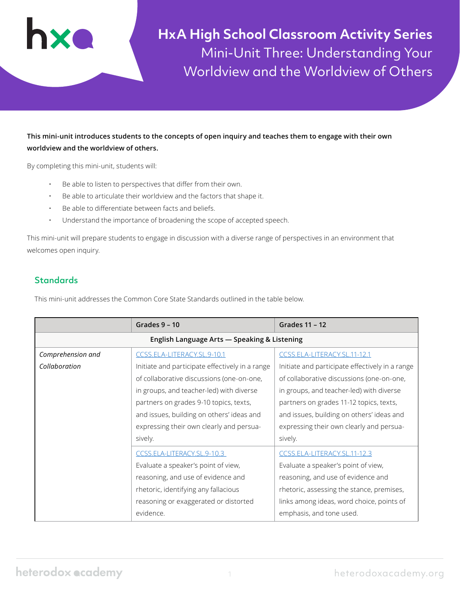

**HxA High School Classroom Activity Series** Mini-Unit Three: Understanding Your Worldview and the Worldview of Others

**This mini-unit introduces students to the concepts of open inquiry and teaches them to engage with their own worldview and the worldview of others.** 

By completing this mini-unit, students will:

- Be able to listen to perspectives that differ from their own.
- Be able to articulate their worldview and the factors that shape it.
- Be able to differentiate between facts and beliefs.
- Understand the importance of broadening the scope of accepted speech.

This mini-unit will prepare students to engage in discussion with a diverse range of perspectives in an environment that welcomes open inquiry.

# **Standards**

This mini-unit addresses the Common Core State Standards outlined in the table below.

|                                              | Grades $9 - 10$                                 | Grades 11 - 12                                  |  |  |  |
|----------------------------------------------|-------------------------------------------------|-------------------------------------------------|--|--|--|
| English Language Arts - Speaking & Listening |                                                 |                                                 |  |  |  |
| Comprehension and                            | CCSS.ELA-LITERACY.SL.9-10.1                     | CCSS.ELA-LITERACY.SL.11-12.1                    |  |  |  |
| Collaboration                                | Initiate and participate effectively in a range | Initiate and participate effectively in a range |  |  |  |
|                                              | of collaborative discussions (one-on-one,       | of collaborative discussions (one-on-one,       |  |  |  |
|                                              | in groups, and teacher-led) with diverse        | in groups, and teacher-led) with diverse        |  |  |  |
|                                              | partners on grades 9-10 topics, texts,          | partners on grades 11-12 topics, texts,         |  |  |  |
|                                              | and issues, building on others' ideas and       | and issues, building on others' ideas and       |  |  |  |
|                                              | expressing their own clearly and persua-        | expressing their own clearly and persua-        |  |  |  |
|                                              | sively.                                         | sively.                                         |  |  |  |
|                                              | CCSS.ELA-LITERACY.SL.9-10.3                     | CCSS.ELA-LITERACY.SL.11-12.3                    |  |  |  |
|                                              | Evaluate a speaker's point of view,             | Evaluate a speaker's point of view,             |  |  |  |
| reasoning, and use of evidence and           |                                                 | reasoning, and use of evidence and              |  |  |  |
|                                              | rhetoric, identifying any fallacious            | rhetoric, assessing the stance, premises,       |  |  |  |
| reasoning or exaggerated or distorted        |                                                 | links among ideas, word choice, points of       |  |  |  |
|                                              | evidence.                                       | emphasis, and tone used.                        |  |  |  |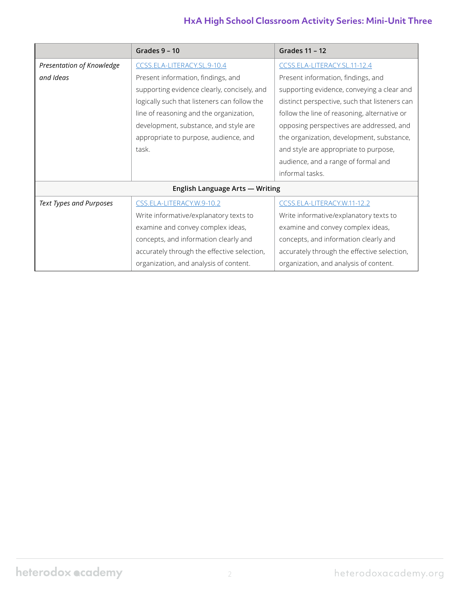# **HxA High School Classroom Activity Series: Mini-Unit Three**

|                                 | Grades 9 - 10                                                                                                                                                                                                                                                           | Grades 11 - 12                                                                                                                                                                                                                                                                                                                                             |  |  |  |
|---------------------------------|-------------------------------------------------------------------------------------------------------------------------------------------------------------------------------------------------------------------------------------------------------------------------|------------------------------------------------------------------------------------------------------------------------------------------------------------------------------------------------------------------------------------------------------------------------------------------------------------------------------------------------------------|--|--|--|
| Presentation of Knowledge       | CCSS.ELA-LITERACY.SL.9-10.4                                                                                                                                                                                                                                             | CCSS.ELA-LITERACY.SL.11-12.4                                                                                                                                                                                                                                                                                                                               |  |  |  |
| and Ideas                       | Present information, findings, and<br>supporting evidence clearly, concisely, and<br>logically such that listeners can follow the<br>line of reasoning and the organization,<br>development, substance, and style are<br>appropriate to purpose, audience, and<br>task. | Present information, findings, and<br>supporting evidence, conveying a clear and<br>distinct perspective, such that listeners can<br>follow the line of reasoning, alternative or<br>opposing perspectives are addressed, and<br>the organization, development, substance,<br>and style are appropriate to purpose,<br>audience, and a range of formal and |  |  |  |
| informal tasks.                 |                                                                                                                                                                                                                                                                         |                                                                                                                                                                                                                                                                                                                                                            |  |  |  |
| English Language Arts - Writing |                                                                                                                                                                                                                                                                         |                                                                                                                                                                                                                                                                                                                                                            |  |  |  |
| <b>Text Types and Purposes</b>  | CSS.ELA-LITERACY.W.9-10.2                                                                                                                                                                                                                                               | CCSS.ELA-LITERACY.W.11-12.2                                                                                                                                                                                                                                                                                                                                |  |  |  |
|                                 | Write informative/explanatory texts to                                                                                                                                                                                                                                  | Write informative/explanatory texts to                                                                                                                                                                                                                                                                                                                     |  |  |  |
|                                 | examine and convey complex ideas,                                                                                                                                                                                                                                       | examine and convey complex ideas,                                                                                                                                                                                                                                                                                                                          |  |  |  |
|                                 | concepts, and information clearly and                                                                                                                                                                                                                                   | concepts, and information clearly and                                                                                                                                                                                                                                                                                                                      |  |  |  |
|                                 | accurately through the effective selection,                                                                                                                                                                                                                             | accurately through the effective selection,                                                                                                                                                                                                                                                                                                                |  |  |  |
|                                 | organization, and analysis of content.                                                                                                                                                                                                                                  | organization, and analysis of content.                                                                                                                                                                                                                                                                                                                     |  |  |  |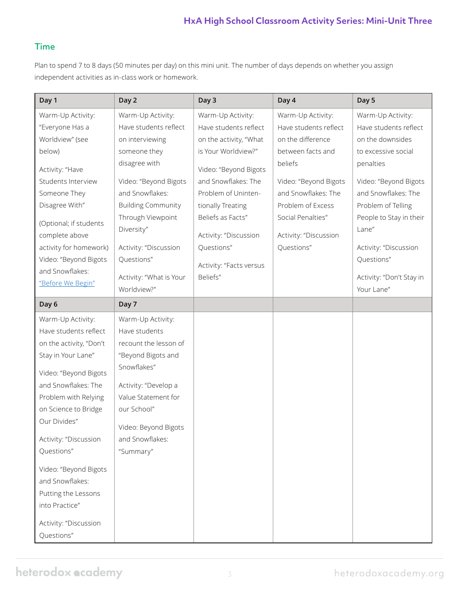# **HxA High School Classroom Activity Series: Mini-Unit Three**

### Time

Plan to spend 7 to 8 days (50 minutes per day) on this mini unit. The number of days depends on whether you assign independent activities as in-class work or homework.

| Day 1                                           | Day 2                               | Day 3                   | Day 4                 | Day 5                               |
|-------------------------------------------------|-------------------------------------|-------------------------|-----------------------|-------------------------------------|
| Warm-Up Activity:                               | Warm-Up Activity:                   | Warm-Up Activity:       | Warm-Up Activity:     | Warm-Up Activity:                   |
| "Everyone Has a                                 | Have students reflect               | Have students reflect   | Have students reflect | Have students reflect               |
| Worldview" (see                                 | on interviewing                     | on the activity, "What  | on the difference     | on the downsides                    |
| below)                                          | someone they                        | is Your Worldview?"     | between facts and     | to excessive social                 |
| Activity: "Have                                 | disagree with                       | Video: "Beyond Bigots   | beliefs               | penalties                           |
| Students Interview                              | Video: "Beyond Bigots               | and Snowflakes: The     | Video: "Beyond Bigots | Video: "Beyond Bigots               |
| Someone They                                    | and Snowflakes:                     | Problem of Uninten-     | and Snowflakes: The   | and Snowflakes: The                 |
| Disagree With"                                  | <b>Building Community</b>           | tionally Treating       | Problem of Excess     | Problem of Telling                  |
|                                                 | Through Viewpoint                   | Beliefs as Facts"       | Social Penalties"     | People to Stay in their             |
| (Optional; if students                          | Diversity"                          |                         |                       | Lane"                               |
| complete above                                  |                                     | Activity: "Discussion   | Activity: "Discussion |                                     |
| activity for homework)<br>Video: "Beyond Bigots | Activity: "Discussion<br>Questions" | Questions"              | Questions"            | Activity: "Discussion<br>Questions" |
| and Snowflakes:                                 |                                     | Activity: "Facts versus |                       |                                     |
| "Before We Begin"                               | Activity: "What is Your             | Beliefs"                |                       | Activity: "Don't Stay in            |
|                                                 | Worldview?"                         |                         |                       | Your Lane"                          |
| Day 6                                           | Day 7                               |                         |                       |                                     |
| Warm-Up Activity:                               | Warm-Up Activity:                   |                         |                       |                                     |
| Have students reflect                           | Have students                       |                         |                       |                                     |
| on the activity, "Don't                         | recount the lesson of               |                         |                       |                                     |
| Stay in Your Lane"                              | "Beyond Bigots and                  |                         |                       |                                     |
| Video: "Beyond Bigots                           | Snowflakes"                         |                         |                       |                                     |
| and Snowflakes: The                             | Activity: "Develop a                |                         |                       |                                     |
| Problem with Relying                            | Value Statement for                 |                         |                       |                                     |
| on Science to Bridge                            | our School"                         |                         |                       |                                     |
| Our Divides"                                    | Video: Beyond Bigots                |                         |                       |                                     |
| Activity: "Discussion                           | and Snowflakes:                     |                         |                       |                                     |
| Questions"                                      | "Summary"                           |                         |                       |                                     |
|                                                 |                                     |                         |                       |                                     |
| Video: "Beyond Bigots<br>and Snowflakes:        |                                     |                         |                       |                                     |
| Putting the Lessons                             |                                     |                         |                       |                                     |
| into Practice"                                  |                                     |                         |                       |                                     |
|                                                 |                                     |                         |                       |                                     |
| Activity: "Discussion                           |                                     |                         |                       |                                     |
| Questions"                                      |                                     |                         |                       |                                     |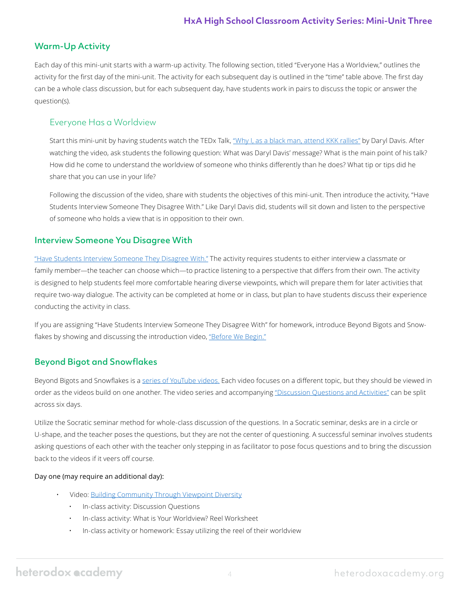# Warm-Up Activity

Each day of this mini-unit starts with a warm-up activity. The following section, titled "Everyone Has a Worldview," outlines the activity for the first day of the mini-unit. The activity for each subsequent day is outlined in the "time" table above. The first day can be a whole class discussion, but for each subsequent day, have students work in pairs to discuss the topic or answer the question(s).

### Everyone Has a Worldview

Start this mini-unit by having students watch the TEDx Talk, ["Why I, as a black man, attend KKK rallies"](https://youtu.be/ORp3q1Oaezw) by Daryl Davis. After watching the video, ask students the following question: What was Daryl Davis' message? What is the main point of his talk? How did he come to understand the worldview of someone who thinks differently than he does? What tip or tips did he share that you can use in your life?

Following the discussion of the video, share with students the objectives of this mini-unit. Then introduce the activity, "Have Students Interview Someone They Disagree With." Like Daryl Davis did, students will sit down and listen to the perspective of someone who holds a view that is in opposition to their own.

### Interview Someone You Disagree With

["Have Students Interview Someone They Disagree With."](https://heterodoxacademy.org/library/have-students-interview-someone-they-disagree-with/) The activity requires students to either interview a classmate or family member—the teacher can choose which—to practice listening to a perspective that differs from their own. The activity is designed to help students feel more comfortable hearing diverse viewpoints, which will prepare them for later activities that require two-way dialogue. The activity can be completed at home or in class, but plan to have students discuss their experience conducting the activity in class.

If you are assigning "Have Students Interview Someone They Disagree With" for homework, introduce Beyond Bigots and Snow-flakes by showing and discussing the introduction video, ["Before We Begin."](https://youtu.be/DPGtWNw8PNs)

# Beyond Bigot and Snowflakes

Beyond Bigots and Snowflakes is a [series of YouTube videos.](https://www.youtube.com/playlist?list=PL5hDlZHPFtlrvoJy5oMfvxCJJ7qs6toUu) Each video focuses on a different topic, but they should be viewed in order as the videos build on one another. The video series and accompanying ["Discussion Questions and Activities"](https://heterodoxacademy.org/library/beyond-bigots-and-snowflakes-discussion-questions-and-classroom-activities/) can be split across six days.

Utilize the Socratic seminar method for whole-class discussion of the questions. In a Socratic seminar, desks are in a circle or U-shape, and the teacher poses the questions, but they are not the center of questioning. A successful seminar involves students asking questions of each other with the teacher only stepping in as facilitator to pose focus questions and to bring the discussion back to the videos if it veers off course.

### Day one (may require an additional day):

- Video[: Building Community Through Viewpoint Diversity](https://youtu.be/lTc81GC3XtE)
	- In-class activity: Discussion Questions
	- In-class activity: What is Your Worldview? Reel Worksheet
	- In-class activity or homework: Essay utilizing the reel of their worldview